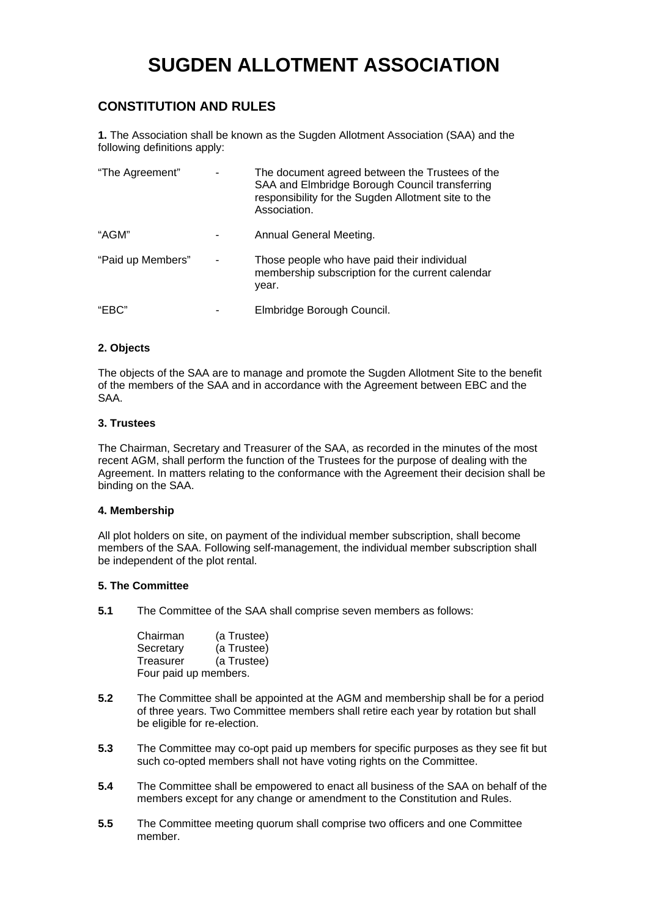# **SUGDEN ALLOTMENT ASSOCIATION**

# **CONSTITUTION AND RULES**

**1.** The Association shall be known as the Sugden Allotment Association (SAA) and the following definitions apply:

| "The Agreement"   | The document agreed between the Trustees of the<br>SAA and Elmbridge Borough Council transferring<br>responsibility for the Sugden Allotment site to the<br>Association. |
|-------------------|--------------------------------------------------------------------------------------------------------------------------------------------------------------------------|
| "AGM"             | Annual General Meeting.                                                                                                                                                  |
| "Paid up Members" | Those people who have paid their individual<br>membership subscription for the current calendar<br>year.                                                                 |
| "EBC"             | Elmbridge Borough Council.                                                                                                                                               |

# **2. Objects**

The objects of the SAA are to manage and promote the Sugden Allotment Site to the benefit of the members of the SAA and in accordance with the Agreement between EBC and the SAA.

#### **3. Trustees**

The Chairman, Secretary and Treasurer of the SAA, as recorded in the minutes of the most recent AGM, shall perform the function of the Trustees for the purpose of dealing with the Agreement. In matters relating to the conformance with the Agreement their decision shall be binding on the SAA.

#### **4. Membership**

All plot holders on site, on payment of the individual member subscription, shall become members of the SAA. Following self-management, the individual member subscription shall be independent of the plot rental.

#### **5. The Committee**

**5.1** The Committee of the SAA shall comprise seven members as follows:

| Chairman  | (a Trustee)           |
|-----------|-----------------------|
| Secretary | (a Trustee)           |
| Treasurer | (a Trustee)           |
|           | Four paid up members. |

- **5.2** The Committee shall be appointed at the AGM and membership shall be for a period of three years. Two Committee members shall retire each year by rotation but shall be eligible for re-election.
- **5.3** The Committee may co-opt paid up members for specific purposes as they see fit but such co-opted members shall not have voting rights on the Committee.
- **5.4** The Committee shall be empowered to enact all business of the SAA on behalf of the members except for any change or amendment to the Constitution and Rules.
- **5.5** The Committee meeting quorum shall comprise two officers and one Committee member.